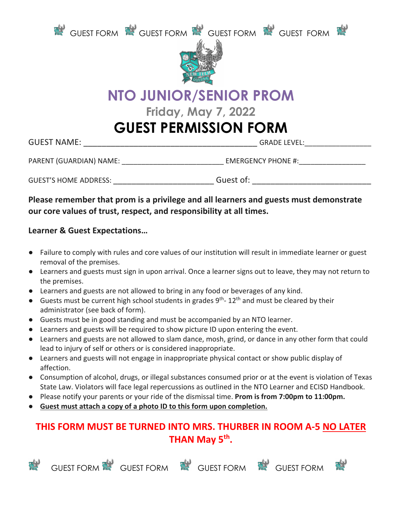



# **NTO JUNIOR/SENIOR PROM**

**Friday, May 7, 2022**

### **GUEST PERMISSION FORM**

GUEST NAME: \_\_\_\_\_\_\_\_\_\_\_\_\_\_\_\_\_\_\_\_\_\_\_\_\_\_\_\_\_\_\_\_\_\_\_\_\_\_ GRADE LEVEL:\_\_\_\_\_\_\_\_\_\_\_\_\_\_\_\_\_

PARENT (GUARDIAN) NAME: \_\_\_\_\_\_\_\_\_\_\_\_\_\_\_\_\_\_\_\_\_\_\_\_\_\_\_\_\_\_\_\_\_\_ EMERGENCY PHONE #: \_\_\_\_\_\_\_\_\_\_\_\_\_\_\_\_\_\_\_\_\_

GUEST'S HOME ADDRESS: GUEST'S HOME ADDRESS:

#### **Please remember that prom is a privilege and all learners and guests must demonstrate our core values of trust, respect, and responsibility at all times.**

#### **Learner & Guest Expectations…**

- Failure to comply with rules and core values of our institution will result in immediate learner or guest removal of the premises.
- Learners and guests must sign in upon arrival. Once a learner signs out to leave, they may not return to the premises.
- Learners and guests are not allowed to bring in any food or beverages of any kind.
- $\bullet$  Guests must be current high school students in grades 9<sup>th</sup>- 12<sup>th</sup> and must be cleared by their administrator (see back of form).
- Guests must be in good standing and must be accompanied by an NTO learner.
- Learners and guests will be required to show picture ID upon entering the event.
- Learners and guests are not allowed to slam dance, mosh, grind, or dance in any other form that could lead to injury of self or others or is considered inappropriate.
- Learners and guests will not engage in inappropriate physical contact or show public display of affection.
- Consumption of alcohol, drugs, or illegal substances consumed prior or at the event is violation of Texas State Law. Violators will face legal repercussions as outlined in the NTO Learner and ECISD Handbook.
- Please notify your parents or your ride of the dismissal time. **Prom is from 7:00pm to 11:00pm.**
- **Guest must attach a copy of a photo ID to this form upon completion.**

### **THIS FORM MUST BE TURNED INTO MRS. THURBER IN ROOM A-5 NO LATER THAN May 5th.**



GUEST FORM STRINGUEST FORM STRINGUEST FORM STRINGUEST FORM STRINGUEST FORM STRINGUEST FORM STRINGUEST